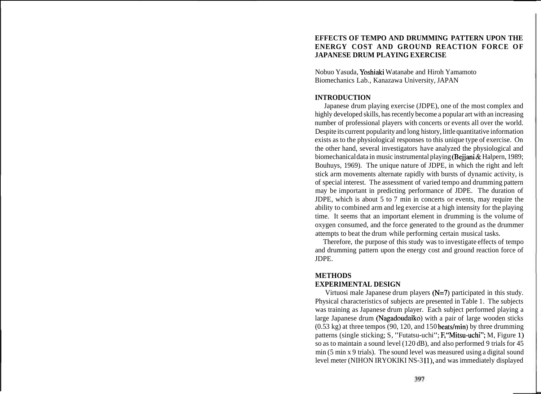## **EFFECTS OF TEMPO AND DRUMMING PATTERN UPON THE ENERGY COST AND GROUND REACTION FORCE OF JAPANESE DRUM PLAYING EXERCISE**

Nobuo Yasuda, Yoshiaki Watanabe and Hiroh Yamamoto Biomechanics Lab., Kanazawa University, JAPAN

# **INTRODUCTION**

Japanese drum playing exercise (JDPE), one of the most complex and highly developed skills, has recently become a popular art with an increasing number of professional players with concerts or events all over the world. Despite its current popularity and long history, little quantitative information exists as to the physiological responses to this unique type of exercise. On the other hand, several investigators have analyzed the physiological and biomechanical data in music instrumental playing (Bejjani & Halpern, 1989; Bouhuys, 1969). The unique nature of JDPE, in which the right and left stick arm movements alternate rapidly with bursts of dynamic activity, is of special interest. The assessment of varied tempo and drumming pattern may be important in predicting performance of JDPE. The duration of JDPE, which is about 5 to 7 min in concerts or events, may require the ability to combined arm and leg exercise at a high intensity for the playing time. It seems that an important element in drumming is the volume of oxygen consumed, and the force generated to the ground as the drummer attempts to beat the drum while performing certain musical tasks.

Therefore, the purpose of this study was to investigate effects of tempo and drumming pattern upon the energy cost and ground reaction force of JDPE.

## **METHODS EXPERIMENTAL DESIGN**

Virtuosi male Japanese drum players (N=7) participated in this study. Physical characteristics of subjects are presented in Table 1. The subjects was training as Japanese drum player. Each subject performed playing a large Japanese drum (Nagadoudaiko) with a pair of large wooden sticks  $(0.53 \text{ kg})$  at three tempos  $(90, 120, \text{ and } 150 \text{ beats/min})$  by three drumming patterns (single sticking; S, "Futatsu-uchi"; F,"Mitsu-uchi"; M, Figure 1) so as to maintain a sound level (120 dB), and also performed 9 trials for 45 min (5 min x 9 trials). The sound level was measured using a digital sound level meter (NIHON IRYOKIKI NS-311), and was immediately displayed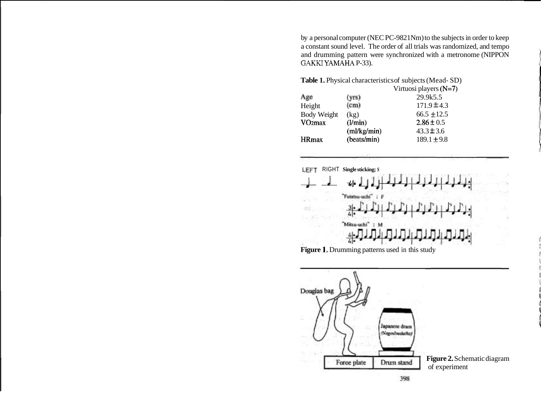by a personal computer (NEC PC-9821Nm) to the subjects in order to keep a constant sound level. The order of all trials was randomized, and tempo and drumming pattern were synchronized with a metronome (NIPPON **GAKKI YAMAHA** P-33).

| <b>Table 1.</b> Physical characteristics of subjects (Mead-SD) |                   |                          |  |  |  |  |
|----------------------------------------------------------------|-------------------|--------------------------|--|--|--|--|
|                                                                |                   | Virtuosi players $(N=7)$ |  |  |  |  |
| Age                                                            | (yrs)             | 29.9k5.5                 |  |  |  |  |
| Height                                                         | (c <sub>m</sub> ) | $171.9 \pm 4.3$          |  |  |  |  |
| <b>Body Weight</b>                                             | (kg)              | $66.5 \pm 12.5$          |  |  |  |  |
| VO <sub>2</sub> max                                            | (l/min)           | $2.86 \pm 0.5$           |  |  |  |  |
|                                                                | (ml/kg/min)       | $43.3 \pm 3.6$           |  |  |  |  |
| <b>HRmax</b>                                                   | (beats/min)       | $189.1 \pm 9.8$          |  |  |  |  |



**Figure 1.** Drumming patterns used in this study

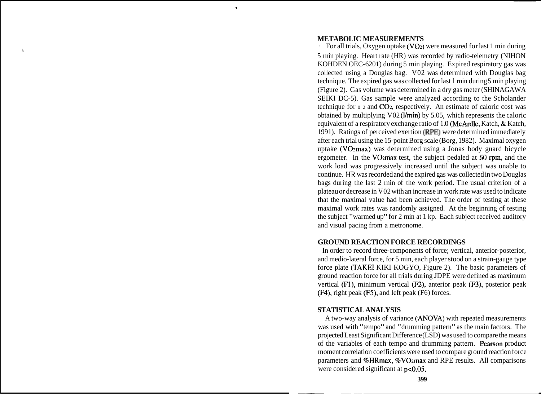## **METABOLIC MEASUREMENTS**

For all trials, Oxygen uptake (VO2) were measured for last 1 min during 5 rnin playing. Heart rate (HR) was recorded by radio-telemetry (NIHON KOHDEN OEC-6201) during 5 min playing. Expired respiratory gas was collected using a Douglas bag. V02 was determined with Douglas bag technique. The expired gas was collected for last 1 rnin during 5 min playing (Figure 2). Gas volume was determined in a dry gas meter (SHINAGAWA SEIKI DC-5). Gas sample were analyzed according to the Scholander technique for  $0.2$  and  $CO<sub>2</sub>$ , respectively. An estimate of caloric cost was obtained by multiplying  $V02$  ( $l/min$ ) by 5.05, which represents the caloric equivalent of a respiratory exchange ratio of 1.0 (McArdle, Katch, & Katch, 1991). Ratings of perceived exertion (RPE) were determined immediately after each trial using the 15-point Borg scale (Borg, 1982). Maximal oxygen uptake (VOzmax) was determined using a Jonas body guard bicycle ergometer. In the VOzmax test, the subject pedaled at 60 rpm, and the work load was progressively increased until the subject was unable to continue. **HR** was recorded and the expired gas was collected in two Douglas bags during the last 2 rnin of the work period. The usual criterion of a plateau or decrease in V02 with an increase in work rate was used to indicate that the maximal value had been achieved. The order of testing at these maximal work rates was randomly assigned. At the beginning of testing the subject "warmed up" for 2 rnin at 1 kp. Each subject received auditory and visual pacing from a metronome.

#### **GROUND REACTION FORCE RECORDINGS**

In order to record three-components of force; vertical, anterior-posterior, and medio-lateral force, for 5 min, each player stood on a strain-gauge type force plate (TAKE1 KIKI KOGYO, Figure 2). The basic parameters of ground reaction force for all trials during JDPE were defined as maximum vertical (Fl), minimum vertical (F2), anterior peak (F3), posterior peak (F4), right peak (F5), and left peak (F6) forces.

#### **STATISTICAL ANALYSIS**

A two-way analysis of variance (ANOVA) with repeated measurements was used with "tempo" and "drumming pattern" as the main factors. The projected Least Significant Difference (LSD) was used to compare the means of the variables of each tempo and drumming pattern. Pearson product moment correlation coefficients were used to compare ground reaction force parameters and %HRmax, %VOzmax and RPE results. All comparisons were considered significant at  $p<0.05$ . of the variables of each tempo and drumming pattern. Pearson product<br>moment correlation coefficients were used to compare ground reaction force<br>parameters and %HRmax, %VO2max and RPE results. All comparisons<br>were considere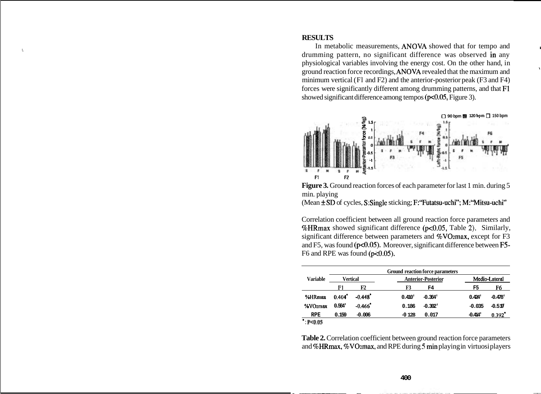### **RESULTS**

In metabolic measurements, ANOVA showed that for tempo and drumming pattern, no significant difference was observed in any physiological variables involving the energy cost. On the other hand, in ground reaction force recordings, ANOVA revealed that the maximum and <sup>I</sup> minimum vertical (Fl and F2) and the anterior-posterior peak (F3 and F4) forces were significantly different among drumming patterns, and that F1 showed significant difference among tempos ( $p<0.05$ , Figure 3).



**Figure 3.** Ground reaction forces of each parameter for last 1 min. during 5 min. playing

 $(Mean \pm SD)$  of cycles, S:Single sticking; F: "Futatsu-uchi"; M: "Mitsu-uchi"

Correlation coefficient between all ground reaction force parameters and %HRmax showed significant difference (pc0.05, Table 2). Similarly, significant difference between parameters and %VO2max, except for F3 and F5, was found ( $p<0.05$ ). Moreover, significant difference between F5-F6 and RPE was found  $(p<0.05)$ .

|                 |          |          | Ground reaction force parameters |               |          |
|-----------------|----------|----------|----------------------------------|---------------|----------|
| <b>Variable</b> | Vertical |          | <b>Anterior-Posterior</b>        | Medio-Lateral |          |
|                 | FI       | F2       | F3<br>F4                         | F5            | F6       |
| %HRmax          | 0.404"   | $-0.448$ | 0.410'<br>$-0.364$               | 0.424         | $-0.478$ |
| %VOzmax         | 0.564    | $-0.466$ | 0.186<br>$-0.302$                | $-0.035$      | $-0.519$ |
| <b>RPE</b>      | 0.159    | $-0.006$ | 0.017<br>$-0.128$                | $-0.414$      | 0.392    |
| P<0.05          |          |          |                                  |               |          |

**Table 2.** Correlation coefficient between ground reaction force parameters and %HRmax, %VOzmax, and RPE during **5** min playing in virtuosi players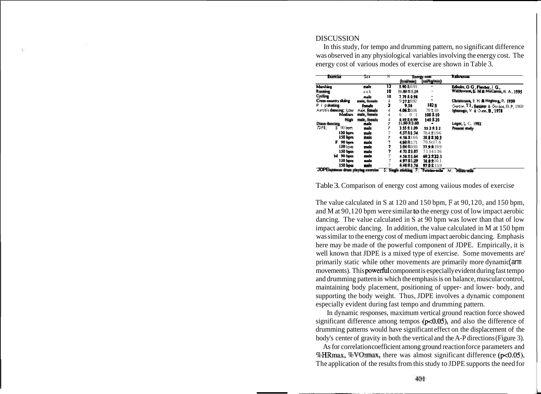### **DISCUSSION**

In this study, for tempo and drumming pattern, no significant difference was observed in any physiological variables involving the energy cost. The energy cost of various modes of exercise are shown in Table 3.

| <b>Excretise</b>                       | Sex.          | N              |                  | <b>Compy 4400</b>  | References                                  |
|----------------------------------------|---------------|----------------|------------------|--------------------|---------------------------------------------|
|                                        |               |                | (konklusio)      | <b>GEAR ENGINE</b> |                                             |
| Marching                               | male          | 12             | $5.90 \pm 0.91$  |                    | Edholm, O G. Fleicher, J G.,                |
| <b>Running</b>                         | auk           | 10             | 11.80 ± 1.24     |                    | Widdowson, E. M. & MirCanne, R. A., 1995    |
| <b>Crofting</b>                        | male          | 10             | $7.79 \pm 0.98$  |                    |                                             |
| Cross-country skiing                   | male, forsale | 4              | $927 \pm 0.92$   |                    | Christmack, C. H. & Hogberg, P., 1950.      |
| Pip plantar                            | female        | 2              | 9.56             | 122 <sub>5</sub>   | Gordon, T.I., Bankster & Gordon, S. P. 1969 |
| Acrobic dancing; Low                   | male. female  | 4              | $4.06 \pm 0.16$  | $70 \pm 10$        | <b>International V</b> & Cruzza, B., 1978   |
| Medium                                 | male, female  | $\overline{4}$ | 6.01             | 100 ± 10           |                                             |
| <b>High</b>                            | male, famale  | 4              | 1.192099         | 140 ± 20           |                                             |
| <b>Disco dancing</b>                   | male          | 7              | 11,60±3.60       |                    | Leger, L. C., 1981                          |
| JDPE:<br>S.<br>$90 \times m$           | malc          | 7              | $3.55 \pm 1.09$  | $55.2 \pm 2.2$     | Present study                               |
| 120 bpm                                | male          | 7              | 4.57 ± 1.74      | $70.4 \pm 196$     |                                             |
| 150 bpm                                | male          | 7              | $4.56 \pm 166$   | 10.1 ± 10.3        |                                             |
| F 90 bpm                               | male          |                | 4 60 ± 1.71      | 70.6t17.6          |                                             |
| 間の                                     | male          |                | <b>1.■±0.93</b>  | 77.9219.9          |                                             |
| 150 bom                                | male          | 7              | 4.71±1.07        | 7134136            |                                             |
| M 90 bpm                               | male          |                | 4.58 ± 1.64      | 69.2 ± 22.1        |                                             |
| 120 bpm                                | ولعدد         |                | 4.97土土源          | $76.0 \pm 10.1$    |                                             |
| 150 bpm                                | mate          |                | 44821.76         | $97.0 \pm 13.9$    |                                             |
| <b>JDPRaymers</b> dram playing cannise |               |                | Simple minimum ? | "Fututsu-uchi"     | M:<br><b>Indian wild</b>                    |

Table 3. Comparison of energy cost among vaiious modes of exercise

The value calculated in S at 120 and 150 bpm, F at 90,120, and 150 bpm, and M at 90,120 bpm were similar to the energy cost of low impact aerobic dancing. The value calculated in S at 90 bpm was lower than that of low impact aerobic dancing. In addition, the value calculated in M at 150 bpm was similar to the energy cost of medium impact aerobic dancing. Emphasis here may be made of the powerful component of JDPE. Empirically, it is well known that JDPE is a mixed type of exercise. Some movements are' primarily static while other movements are primarily more dynamic(arm movements). This **powerful** component is especially evident during fast tempo and drumming pattern in which the emphasis is on balance, muscular control, maintaining body placement, positioning of upper- and lower- body, and supporting the body weight. Thus, JDPE involves a dynamic component especially evident during fast tempo and drumming pattern.

In dynamic responses, maximum vertical ground reaction force showed significant difference among tempos  $(p<0.05)$ , and also the difference of drumming patterns would have significant effect on the displacement of the body's center of gravity in both the vertical and the A-P directions (Figure 3).

As for correlation coefficient among ground reaction force parameters and %HRmax, %VOrmax, there was almost significant difference (p<0.05). The application of the results from this study to JDPE supports the need for